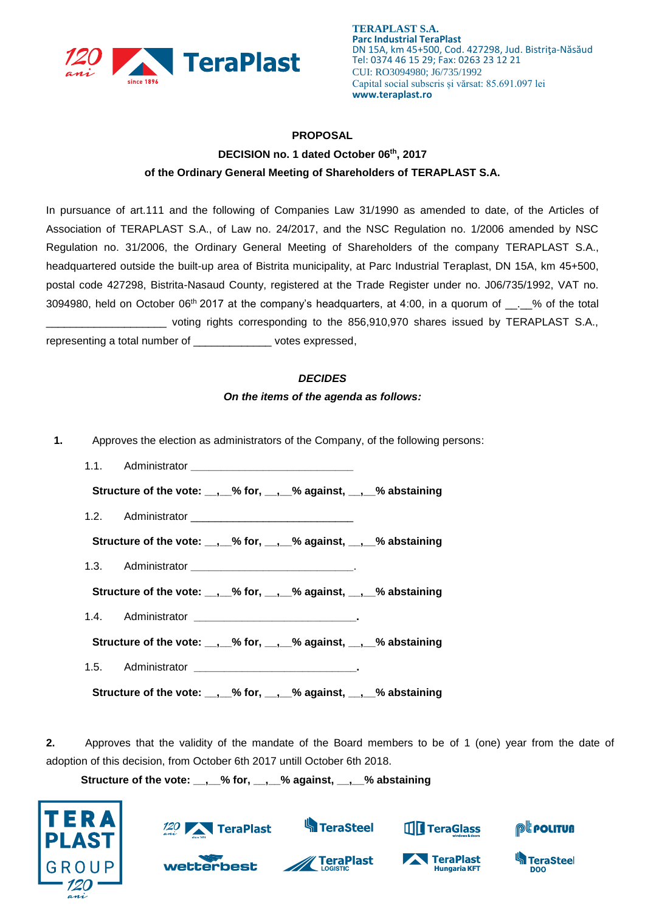

## **PROPOSAL DECISION no. 1 dated October 06th, 2017 of the Ordinary General Meeting of Shareholders of TERAPLAST S.A.**

In pursuance of art.111 and the following of Companies Law 31/1990 as amended to date, of the Articles of Association of TERAPLAST S.A., of Law no. 24/2017, and the NSC Regulation no. 1/2006 amended by NSC Regulation no. 31/2006, the Ordinary General Meeting of Shareholders of the company TERAPLAST S.A., headquartered outside the built-up area of Bistrita municipality, at Parc Industrial Teraplast, DN 15A, km 45+500, postal code 427298, Bistrita-Nasaud County, registered at the Trade Register under no. J06/735/1992, VAT no. 3094980, held on October 06<sup>th</sup> 2017 at the company's headquarters, at 4:00, in a quorum of  $\sim$  % of the total \_\_\_\_\_\_\_\_\_\_\_\_\_\_\_\_\_\_\_\_ voting rights corresponding to the 856,910,970 shares issued by TERAPLAST S.A., representing a total number of \_\_\_\_\_\_\_\_\_\_\_\_\_ votes expressed,

## *DECIDES*

## *On the items of the agenda as follows:*

- **1.** Approves the election as administrators of the Company, of the following persons:
	- 1.1. Administrator **\_\_\_\_\_\_\_\_\_\_\_\_\_\_\_\_\_\_\_\_\_\_\_\_\_\_\_ Structure of the vote: \_\_,\_\_% for, \_\_,\_\_% against, \_\_,\_\_% abstaining** 1.2. Administrator **Structure of the vote: \_\_,\_\_% for, \_\_,\_\_% against, \_\_,\_\_% abstaining** 1.3. Administrator **\_\_\_\_\_\_\_\_\_\_\_\_\_\_\_\_\_\_\_\_\_\_\_\_\_\_\_**. **Structure of the vote: \_\_,\_\_% for, \_\_,\_\_% against, \_\_,\_\_% abstaining** 1.4. Administrator **\_\_\_\_\_\_\_\_\_\_\_\_\_\_\_\_\_\_\_\_\_\_\_\_\_\_\_. Structure of the vote: \_\_,\_\_% for, \_\_,\_\_% against, \_\_,\_\_% abstaining** 1.5. Administrator **\_\_\_\_\_\_\_\_\_\_\_\_\_\_\_\_\_\_\_\_\_\_\_\_\_\_\_. Structure of the vote: \_\_,\_\_% for, \_\_,\_\_% against, \_\_,\_\_% abstaining**

**2.** Approves that the validity of the mandate of the Board members to be of 1 (one) year from the date of adoption of this decision, from October 6th 2017 untill October 6th 2018.

**Structure of the vote: \_\_,\_\_% for, \_\_,\_\_% against, \_\_,\_\_% abstaining**